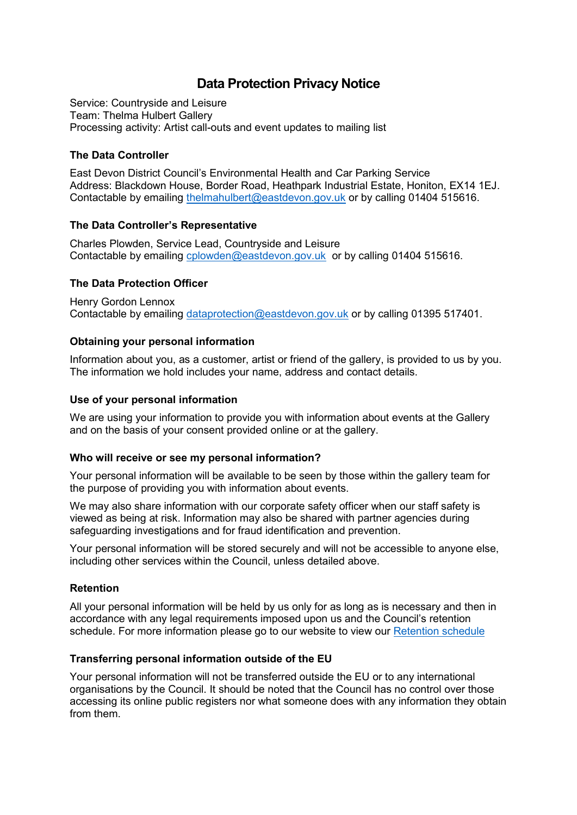# **Data Protection Privacy Notice**

Service: Countryside and Leisure Team: Thelma Hulbert Gallery Processing activity: Artist call-outs and event updates to mailing list

## **The Data Controller**

East Devon District Council's Environmental Health and Car Parking Service Address: Blackdown House, Border Road, Heathpark Industrial Estate, Honiton, EX14 1EJ. Contactable by emailing [thelmahulbert@eastdevon.gov.uk](mailto:thelmahulbert@eastdevon.gov.uk) or by calling 01404 515616.

#### **The Data Controller's Representative**

Charles Plowden, Service Lead, Countryside and Leisure Contactable by emailing [cplowden@eastdevon.gov.uk](mailto:cplowden@eastdevon.gov.uk) or by calling 01404 515616.

# **The Data Protection Officer**

Henry Gordon Lennox Contactable by emailing [dataprotection@eastdevon.gov.uk](mailto:dataprotection@eastdevon.gov.uk) or by calling 01395 517401.

# **Obtaining your personal information**

Information about you, as a customer, artist or friend of the gallery, is provided to us by you. The information we hold includes your name, address and contact details.

#### **Use of your personal information**

We are using your information to provide you with information about events at the Gallery and on the basis of your consent provided online or at the gallery.

#### **Who will receive or see my personal information?**

Your personal information will be available to be seen by those within the gallery team for the purpose of providing you with information about events.

We may also share information with our corporate safety officer when our staff safety is viewed as being at risk. Information may also be shared with partner agencies during safeguarding investigations and for fraud identification and prevention.

Your personal information will be stored securely and will not be accessible to anyone else, including other services within the Council, unless detailed above.

## **Retention**

All your personal information will be held by us only for as long as is necessary and then in accordance with any legal requirements imposed upon us and the Council's retention schedule. For more information please go to our website to view our [Retention schedule](http://eastdevon.gov.uk/access-to-information/data-protection/document-retention-schedules/)

#### **Transferring personal information outside of the EU**

Your personal information will not be transferred outside the EU or to any international organisations by the Council. It should be noted that the Council has no control over those accessing its online public registers nor what someone does with any information they obtain from them.